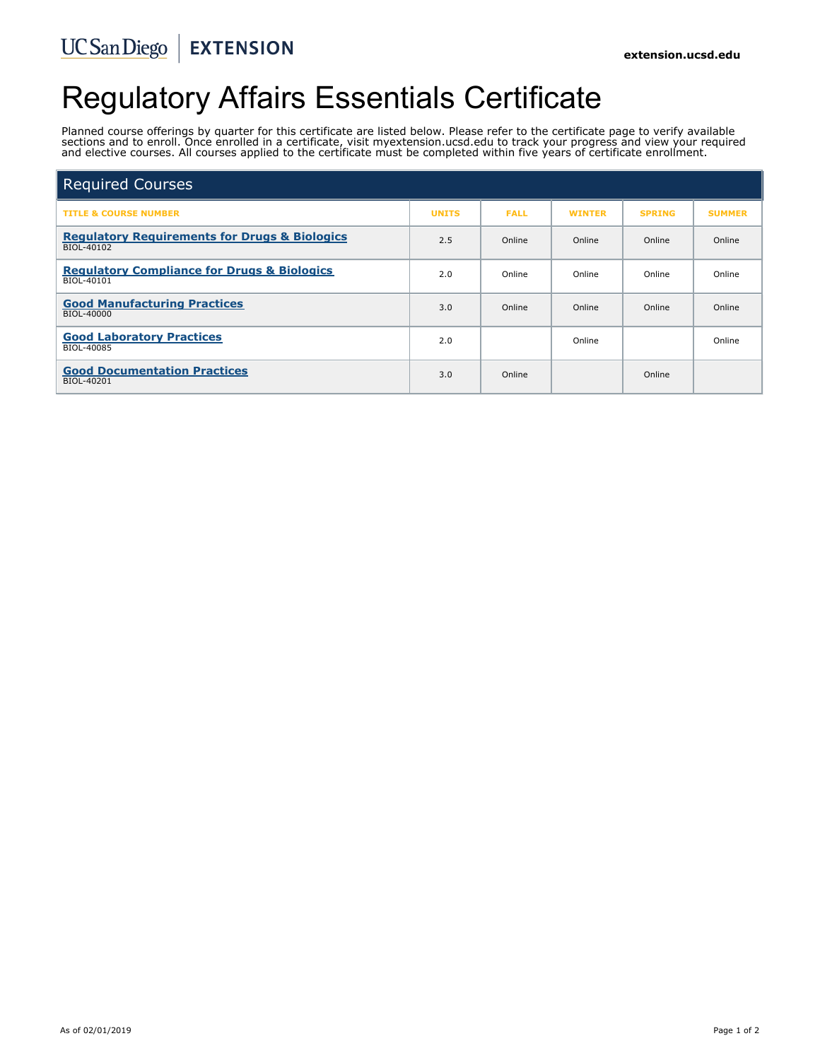# Regulatory Affairs Essentials Certificate

Planned course offerings by quarter for this certificate are listed below. Please refer to the certificate page to verify available sections and to enroll. Once enrolled in a certificate, visit myextension.ucsd.edu to track your progress and view your required and elective courses. All courses applied to the certificate must be completed within five years of certificate enrollment.

| <b>Required Courses</b>                                                |              |             |               |               |               |
|------------------------------------------------------------------------|--------------|-------------|---------------|---------------|---------------|
| <b>TITLE &amp; COURSE NUMBER</b>                                       | <b>UNITS</b> | <b>FALL</b> | <b>WINTER</b> | <b>SPRING</b> | <b>SUMMER</b> |
| <b>Regulatory Requirements for Drugs &amp; Biologics</b><br>BIOL-40102 | 2.5          | Online      | Online        | Online        | Online        |
| <b>Regulatory Compliance for Drugs &amp; Biologics</b><br>BIOL-40101   | 2.0          | Online      | Online        | Online        | Online        |
| <b>Good Manufacturing Practices</b><br>BIOL-40000                      | 3.0          | Online      | Online        | Online        | Online        |
| <b>Good Laboratory Practices</b><br>BIOL-40085                         | 2.0          |             | Online        |               | Online        |
| <b>Good Documentation Practices</b><br>BIOL-40201                      | 3.0          | Online      |               | Online        |               |